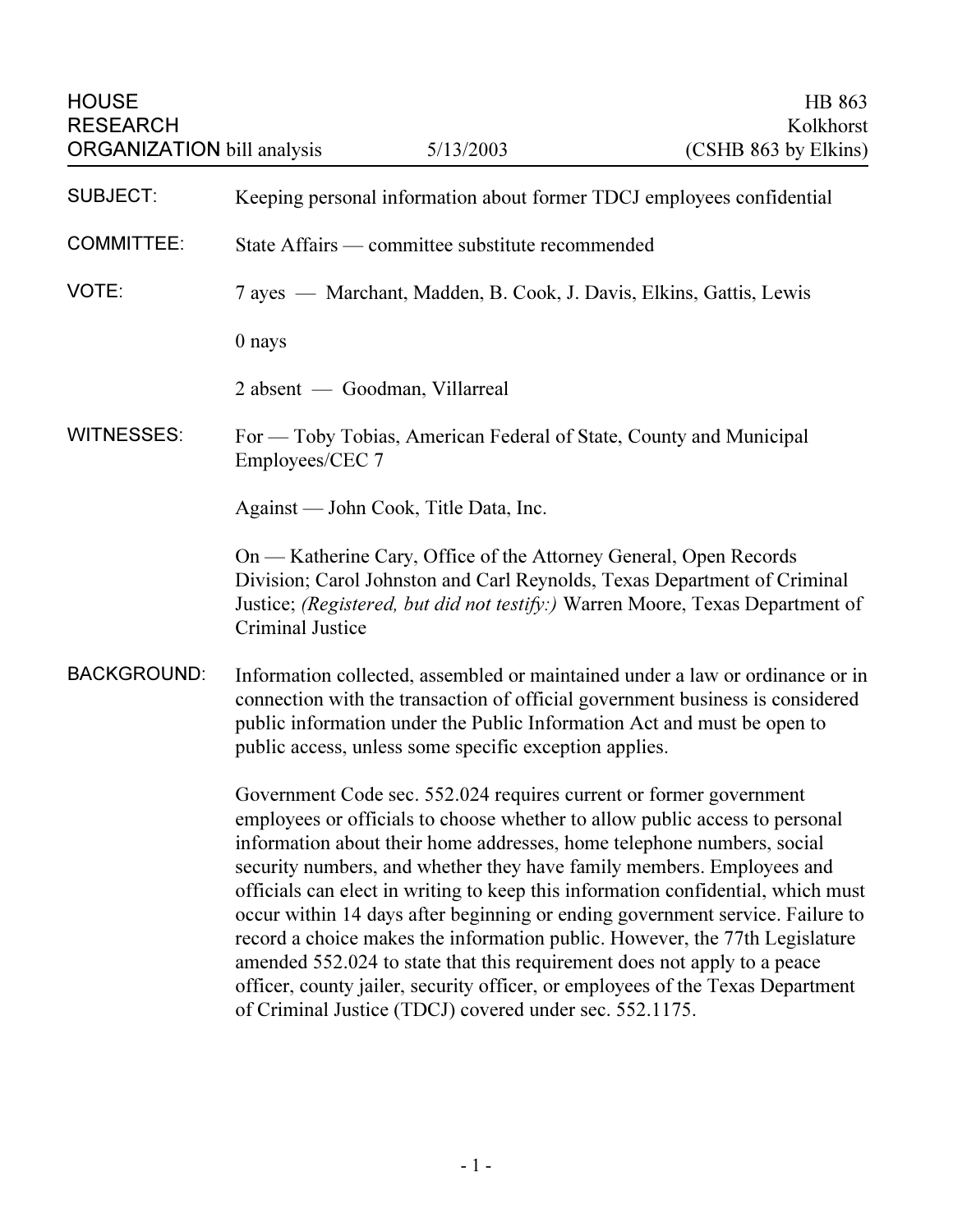| <b>HOUSE</b><br><b>RESEARCH</b><br><b>ORGANIZATION</b> bill analysis |                                                                                                                                                                                                                                                                                                                                                                                                                                                                                                                                                                                                                                                                                                                                                                                   | 5/13/2003                                                          | HB 863<br>Kolkhorst<br>(CSHB 863 by Elkins)                                                                                                               |
|----------------------------------------------------------------------|-----------------------------------------------------------------------------------------------------------------------------------------------------------------------------------------------------------------------------------------------------------------------------------------------------------------------------------------------------------------------------------------------------------------------------------------------------------------------------------------------------------------------------------------------------------------------------------------------------------------------------------------------------------------------------------------------------------------------------------------------------------------------------------|--------------------------------------------------------------------|-----------------------------------------------------------------------------------------------------------------------------------------------------------|
| <b>SUBJECT:</b>                                                      | Keeping personal information about former TDCJ employees confidential                                                                                                                                                                                                                                                                                                                                                                                                                                                                                                                                                                                                                                                                                                             |                                                                    |                                                                                                                                                           |
| <b>COMMITTEE:</b>                                                    | State Affairs — committee substitute recommended                                                                                                                                                                                                                                                                                                                                                                                                                                                                                                                                                                                                                                                                                                                                  |                                                                    |                                                                                                                                                           |
| VOTE:                                                                | 7 ayes — Marchant, Madden, B. Cook, J. Davis, Elkins, Gattis, Lewis                                                                                                                                                                                                                                                                                                                                                                                                                                                                                                                                                                                                                                                                                                               |                                                                    |                                                                                                                                                           |
|                                                                      | 0 nays                                                                                                                                                                                                                                                                                                                                                                                                                                                                                                                                                                                                                                                                                                                                                                            |                                                                    |                                                                                                                                                           |
|                                                                      |                                                                                                                                                                                                                                                                                                                                                                                                                                                                                                                                                                                                                                                                                                                                                                                   | 2 absent — Goodman, Villarreal                                     |                                                                                                                                                           |
| <b>WITNESSES:</b>                                                    | Employees/CEC 7                                                                                                                                                                                                                                                                                                                                                                                                                                                                                                                                                                                                                                                                                                                                                                   | For — Toby Tobias, American Federal of State, County and Municipal |                                                                                                                                                           |
|                                                                      |                                                                                                                                                                                                                                                                                                                                                                                                                                                                                                                                                                                                                                                                                                                                                                                   | Against — John Cook, Title Data, Inc.                              |                                                                                                                                                           |
|                                                                      | Criminal Justice                                                                                                                                                                                                                                                                                                                                                                                                                                                                                                                                                                                                                                                                                                                                                                  | On — Katherine Cary, Office of the Attorney General, Open Records  | Division; Carol Johnston and Carl Reynolds, Texas Department of Criminal<br>Justice; (Registered, but did not testify:) Warren Moore, Texas Department of |
| <b>BACKGROUND:</b>                                                   | Information collected, assembled or maintained under a law or ordinance or in<br>connection with the transaction of official government business is considered<br>public information under the Public Information Act and must be open to<br>public access, unless some specific exception applies.                                                                                                                                                                                                                                                                                                                                                                                                                                                                               |                                                                    |                                                                                                                                                           |
|                                                                      | Government Code sec. 552.024 requires current or former government<br>employees or officials to choose whether to allow public access to personal<br>information about their home addresses, home telephone numbers, social<br>security numbers, and whether they have family members. Employees and<br>officials can elect in writing to keep this information confidential, which must<br>occur within 14 days after beginning or ending government service. Failure to<br>record a choice makes the information public. However, the 77th Legislature<br>amended 552.024 to state that this requirement does not apply to a peace<br>officer, county jailer, security officer, or employees of the Texas Department<br>of Criminal Justice (TDCJ) covered under sec. 552.1175. |                                                                    |                                                                                                                                                           |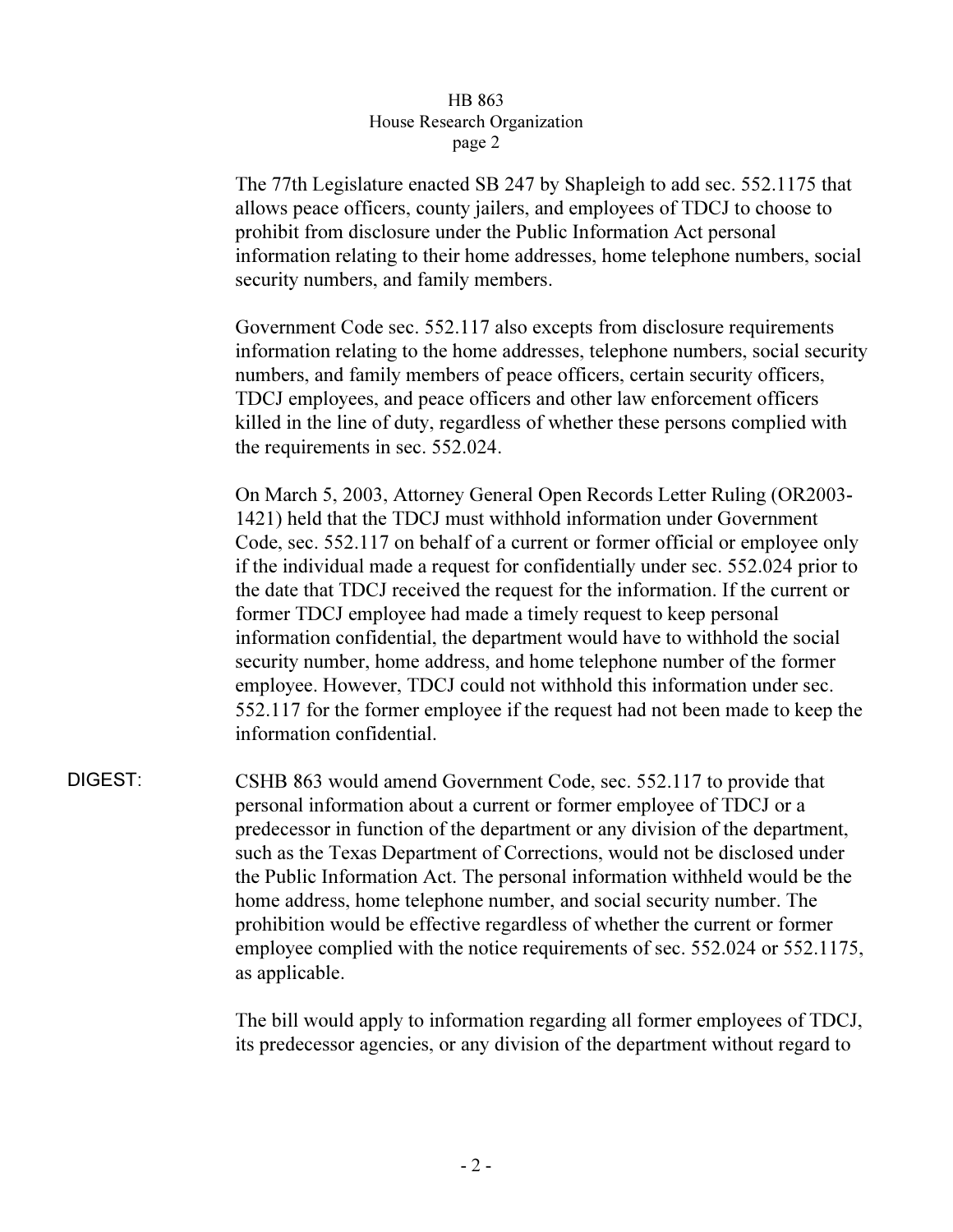## HB 863 House Research Organization page 2  $r^{2}$

The 77th Legislature enacted SB 247 by Shapleigh to add sec. 552.1175 that allows peace officers, county jailers, and employees of TDCJ to choose to prohibit from disclosure under the Public Information Act personal information relating to their home addresses, home telephone numbers, social security numbers, and family members.

Government Code sec. 552.117 also excepts from disclosure requirements information relating to the home addresses, telephone numbers, social security numbers, and family members of peace officers, certain security officers, TDCJ employees, and peace officers and other law enforcement officers killed in the line of duty, regardless of whether these persons complied with the requirements in sec. 552.024.

On March 5, 2003, Attorney General Open Records Letter Ruling (OR2003- 1421) held that the TDCJ must withhold information under Government Code, sec. 552.117 on behalf of a current or former official or employee only if the individual made a request for confidentially under sec. 552.024 prior to the date that TDCJ received the request for the information. If the current or former TDCJ employee had made a timely request to keep personal information confidential, the department would have to withhold the social security number, home address, and home telephone number of the former employee. However, TDCJ could not withhold this information under sec. 552.117 for the former employee if the request had not been made to keep the information confidential.

DIGEST: CSHB 863 would amend Government Code, sec. 552.117 to provide that personal information about a current or former employee of TDCJ or a predecessor in function of the department or any division of the department, such as the Texas Department of Corrections, would not be disclosed under the Public Information Act. The personal information withheld would be the home address, home telephone number, and social security number. The prohibition would be effective regardless of whether the current or former employee complied with the notice requirements of sec. 552.024 or 552.1175, as applicable.

> The bill would apply to information regarding all former employees of TDCJ, its predecessor agencies, or any division of the department without regard to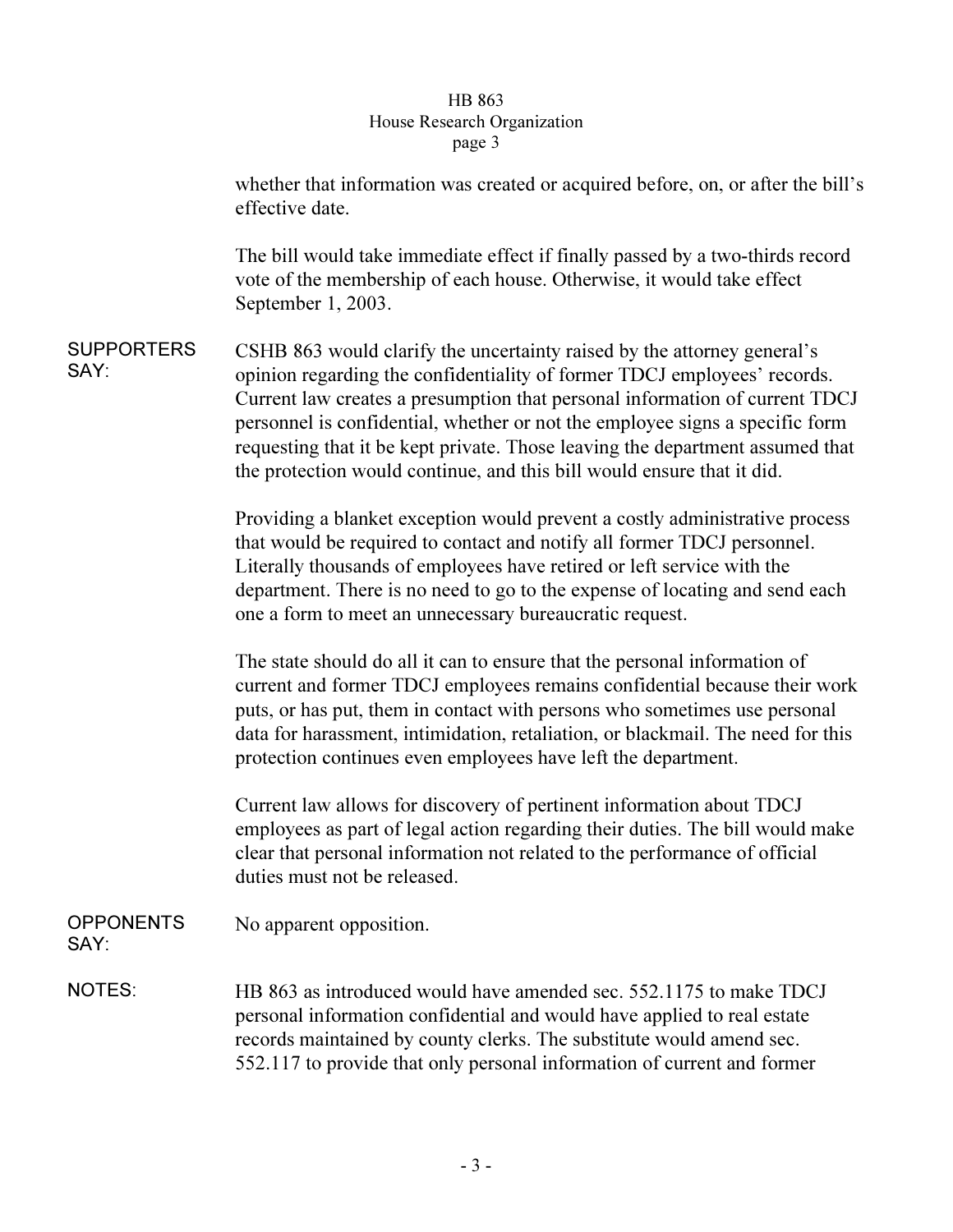## $\overline{\mathsf{B}}$  arch  $\overline{\mathsf{O}}$  $\frac{1}{2}$

|                           | whether that information was created or acquired before, on, or after the bill's<br>effective date.                                                                                                                                                                                                                                                                                                                                                                           |
|---------------------------|-------------------------------------------------------------------------------------------------------------------------------------------------------------------------------------------------------------------------------------------------------------------------------------------------------------------------------------------------------------------------------------------------------------------------------------------------------------------------------|
|                           | The bill would take immediate effect if finally passed by a two-thirds record<br>vote of the membership of each house. Otherwise, it would take effect<br>September 1, 2003.                                                                                                                                                                                                                                                                                                  |
| <b>SUPPORTERS</b><br>SAY: | CSHB 863 would clarify the uncertainty raised by the attorney general's<br>opinion regarding the confidentiality of former TDCJ employees' records.<br>Current law creates a presumption that personal information of current TDCJ<br>personnel is confidential, whether or not the employee signs a specific form<br>requesting that it be kept private. Those leaving the department assumed that<br>the protection would continue, and this bill would ensure that it did. |
|                           | Providing a blanket exception would prevent a costly administrative process<br>that would be required to contact and notify all former TDCJ personnel.<br>Literally thousands of employees have retired or left service with the<br>department. There is no need to go to the expense of locating and send each<br>one a form to meet an unnecessary bureaucratic request.                                                                                                    |
|                           | The state should do all it can to ensure that the personal information of<br>current and former TDCJ employees remains confidential because their work<br>puts, or has put, them in contact with persons who sometimes use personal<br>data for harassment, intimidation, retaliation, or blackmail. The need for this<br>protection continues even employees have left the department.                                                                                       |
|                           | Current law allows for discovery of pertinent information about TDCJ<br>employees as part of legal action regarding their duties. The bill would make<br>clear that personal information not related to the performance of official<br>duties must not be released.                                                                                                                                                                                                           |
| <b>OPPONENTS</b><br>SAY:  | No apparent opposition.                                                                                                                                                                                                                                                                                                                                                                                                                                                       |
| <b>NOTES:</b>             | HB 863 as introduced would have amended sec. 552.1175 to make TDCJ<br>personal information confidential and would have applied to real estate<br>records maintained by county clerks. The substitute would amend sec.<br>552.117 to provide that only personal information of current and former                                                                                                                                                                              |